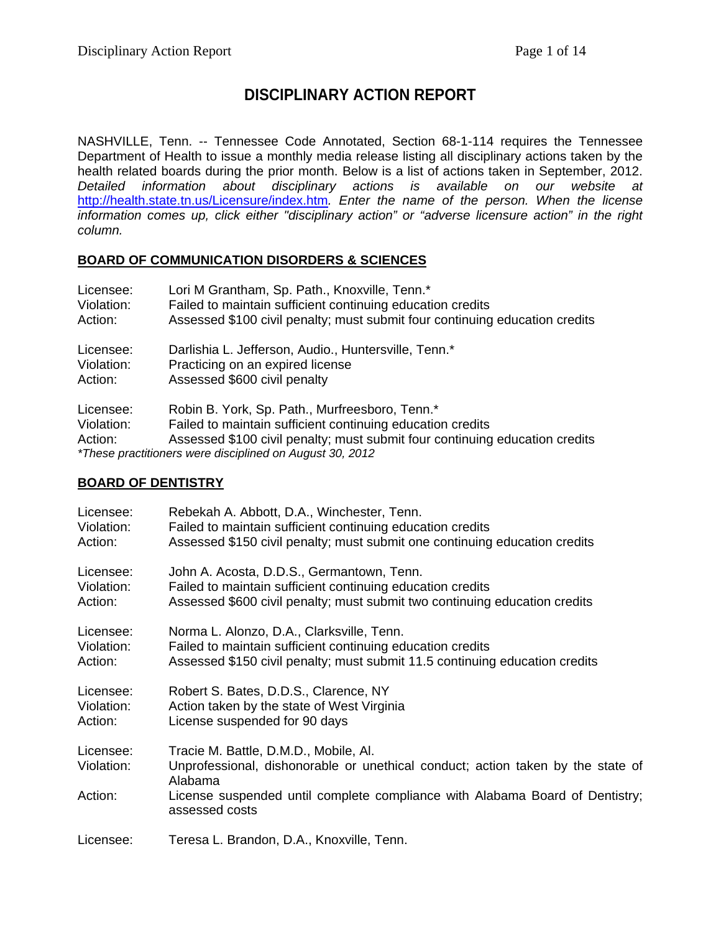# **DISCIPLINARY ACTION REPORT**

NASHVILLE, Tenn. -- Tennessee Code Annotated, Section 68-1-114 requires the Tennessee Department of Health to issue a monthly media release listing all disciplinary actions taken by the health related boards during the prior month. Below is a list of actions taken in September, 2012. *Detailed information about disciplinary actions is available on our website at*  <http://health.state.tn.us/Licensure/index.htm>*. Enter the name of the person. When the license information comes up, click either "disciplinary action" or "adverse licensure action" in the right column.*

#### **BOARD OF COMMUNICATION DISORDERS & SCIENCES**

| Licensee:                          | Lori M Grantham, Sp. Path., Knoxville, Tenn.*                                                                                                                                                                                                           |
|------------------------------------|---------------------------------------------------------------------------------------------------------------------------------------------------------------------------------------------------------------------------------------------------------|
| Violation:                         | Failed to maintain sufficient continuing education credits                                                                                                                                                                                              |
| Action:                            | Assessed \$100 civil penalty; must submit four continuing education credits                                                                                                                                                                             |
| Licensee:                          | Darlishia L. Jefferson, Audio., Huntersville, Tenn.*                                                                                                                                                                                                    |
| Violation:                         | Practicing on an expired license                                                                                                                                                                                                                        |
| Action:                            | Assessed \$600 civil penalty                                                                                                                                                                                                                            |
| Licensee:<br>Violation:<br>Action: | Robin B. York, Sp. Path., Murfreesboro, Tenn.*<br>Failed to maintain sufficient continuing education credits<br>Assessed \$100 civil penalty; must submit four continuing education credits<br>*These practitioners were disciplined on August 30, 2012 |

#### **BOARD OF DENTISTRY**

| Licensee:               | Rebekah A. Abbott, D.A., Winchester, Tenn.                                                                                          |
|-------------------------|-------------------------------------------------------------------------------------------------------------------------------------|
| Violation:              | Failed to maintain sufficient continuing education credits                                                                          |
| Action:                 | Assessed \$150 civil penalty; must submit one continuing education credits                                                          |
| Licensee:               | John A. Acosta, D.D.S., Germantown, Tenn.                                                                                           |
| Violation:              | Failed to maintain sufficient continuing education credits                                                                          |
| Action:                 | Assessed \$600 civil penalty; must submit two continuing education credits                                                          |
| Licensee:               | Norma L. Alonzo, D.A., Clarksville, Tenn.                                                                                           |
| Violation:              | Failed to maintain sufficient continuing education credits                                                                          |
| Action:                 | Assessed \$150 civil penalty; must submit 11.5 continuing education credits                                                         |
| Licensee:               | Robert S. Bates, D.D.S., Clarence, NY                                                                                               |
| Violation:              | Action taken by the state of West Virginia                                                                                          |
| Action:                 | License suspended for 90 days                                                                                                       |
| Licensee:<br>Violation: | Tracie M. Battle, D.M.D., Mobile, Al.<br>Unprofessional, dishonorable or unethical conduct; action taken by the state of<br>Alabama |
| Action:                 | License suspended until complete compliance with Alabama Board of Dentistry;<br>assessed costs                                      |
| Licensee:               | Teresa L. Brandon, D.A., Knoxville, Tenn.                                                                                           |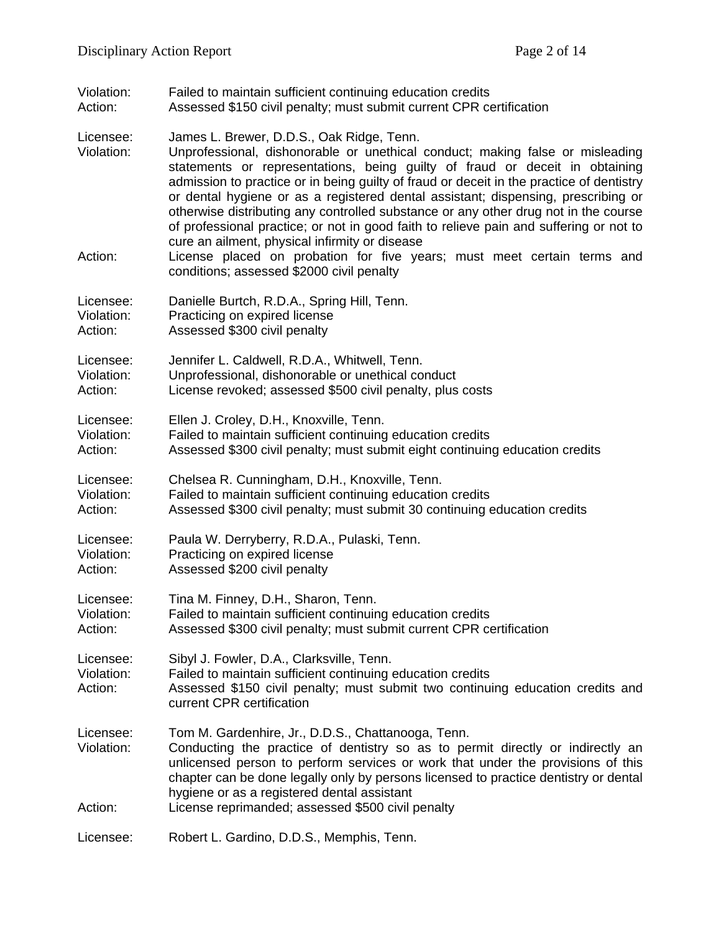Violation: Failed to maintain sufficient continuing education credits<br>Action: Assessed \$150 civil penalty: must submit current CPR co Assessed \$150 civil penalty; must submit current CPR certification

Licensee: James L. Brewer, D.D.S., Oak Ridge, Tenn.

- Violation: Unprofessional, dishonorable or unethical conduct; making false or misleading statements or representations, being guilty of fraud or deceit in obtaining admission to practice or in being guilty of fraud or deceit in the practice of dentistry or dental hygiene or as a registered dental assistant; dispensing, prescribing or otherwise distributing any controlled substance or any other drug not in the course of professional practice; or not in good faith to relieve pain and suffering or not to cure an ailment, physical infirmity or disease
- Action: License placed on probation for five years; must meet certain terms and conditions; assessed \$2000 civil penalty
- Licensee: Danielle Burtch, R.D.A., Spring Hill, Tenn.<br>Violation: Practicing on expired license Violation: Practicing on expired license<br>Action: Assessed \$300 civil penalty Assessed \$300 civil penalty
- Licensee: Jennifer L. Caldwell, R.D.A., Whitwell, Tenn. Violation: Unprofessional, dishonorable or unethical conduct Action: License revoked; assessed \$500 civil penalty, plus costs
- Licensee: Ellen J. Croley, D.H., Knoxville, Tenn.
- Violation: Failed to maintain sufficient continuing education credits<br>Action: Assessed \$300 civil penalty: must submit eight continuing Assessed \$300 civil penalty; must submit eight continuing education credits

Licensee: Chelsea R. Cunningham, D.H., Knoxville, Tenn. Violation: Failed to maintain sufficient continuing education credits Action: Assessed \$300 civil penalty; must submit 30 continuing education credits

Licensee: Paula W. Derryberry, R.D.A., Pulaski, Tenn. Violation: Practicing on expired license

- Action: Assessed \$200 civil penalty
- Licensee: Tina M. Finney, D.H., Sharon, Tenn.
- Violation: Failed to maintain sufficient continuing education credits
- Action: Assessed \$300 civil penalty; must submit current CPR certification

Licensee: Sibyl J. Fowler, D.A., Clarksville, Tenn.<br>Violation: Failed to maintain sufficient continuing Failed to maintain sufficient continuing education credits Action: Assessed \$150 civil penalty; must submit two continuing education credits and current CPR certification

- Licensee: Tom M. Gardenhire, Jr., D.D.S., Chattanooga, Tenn. Violation: Conducting the practice of dentistry so as to permit directly or indirectly an unlicensed person to perform services or work that under the provisions of this chapter can be done legally only by persons licensed to practice dentistry or dental hygiene or as a registered dental assistant
- Action: License reprimanded; assessed \$500 civil penalty

Licensee: Robert L. Gardino, D.D.S., Memphis, Tenn.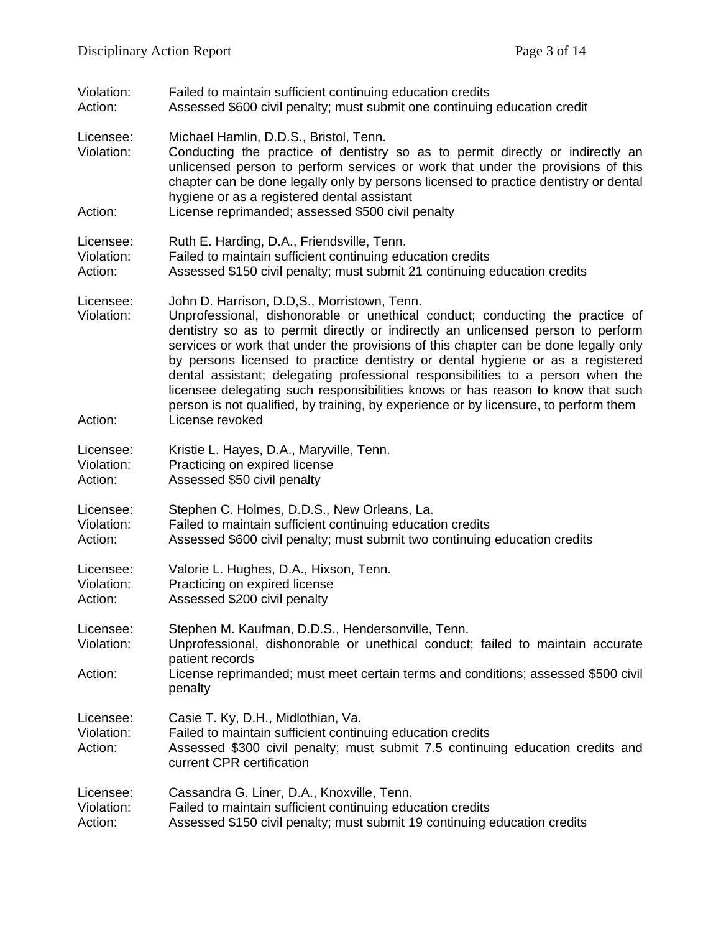- Violation: Failed to maintain sufficient continuing education credits<br>Action: Assessed \$600 civil penalty: must submit one continuing Assessed \$600 civil penalty; must submit one continuing education credit
- Licensee: Michael Hamlin, D.D.S., Bristol, Tenn.
- Violation: Conducting the practice of dentistry so as to permit directly or indirectly an unlicensed person to perform services or work that under the provisions of this chapter can be done legally only by persons licensed to practice dentistry or dental hygiene or as a registered dental assistant
- Action: License reprimanded; assessed \$500 civil penalty
- Licensee: Ruth E. Harding, D.A., Friendsville, Tenn. Violation: Failed to maintain sufficient continuing education credits Action: Assessed \$150 civil penalty; must submit 21 continuing education credits
- Licensee: John D. Harrison, D.D,S., Morristown, Tenn. Violation: Unprofessional, dishonorable or unethical conduct; conducting the practice of dentistry so as to permit directly or indirectly an unlicensed person to perform services or work that under the provisions of this chapter can be done legally only by persons licensed to practice dentistry or dental hygiene or as a registered dental assistant; delegating professional responsibilities to a person when the licensee delegating such responsibilities knows or has reason to know that such person is not qualified, by training, by experience or by licensure, to perform them Action: License revoked
- Licensee: Kristie L. Hayes, D.A., Maryville, Tenn. Violation: Practicing on expired license
- Action: Assessed \$50 civil penalty
- Licensee: Stephen C. Holmes, D.D.S., New Orleans, La. Violation: Failed to maintain sufficient continuing education credits Action: Assessed \$600 civil penalty; must submit two continuing education credits
- Licensee: Valorie L. Hughes, D.A., Hixson, Tenn.
- Violation: Practicing on expired license Action: Assessed \$200 civil penalty
- 
- Licensee: Stephen M. Kaufman, D.D.S., Hendersonville, Tenn. Violation: Unprofessional, dishonorable or unethical conduct; failed to maintain accurate patient records
- Action: License reprimanded; must meet certain terms and conditions; assessed \$500 civil penalty
- Licensee: Casie T. Ky, D.H., Midlothian, Va.
- Violation: Failed to maintain sufficient continuing education credits
- Action: Assessed \$300 civil penalty; must submit 7.5 continuing education credits and current CPR certification
- Licensee: Cassandra G. Liner, D.A., Knoxville, Tenn.
- Violation: Failed to maintain sufficient continuing education credits
- Action: Assessed \$150 civil penalty; must submit 19 continuing education credits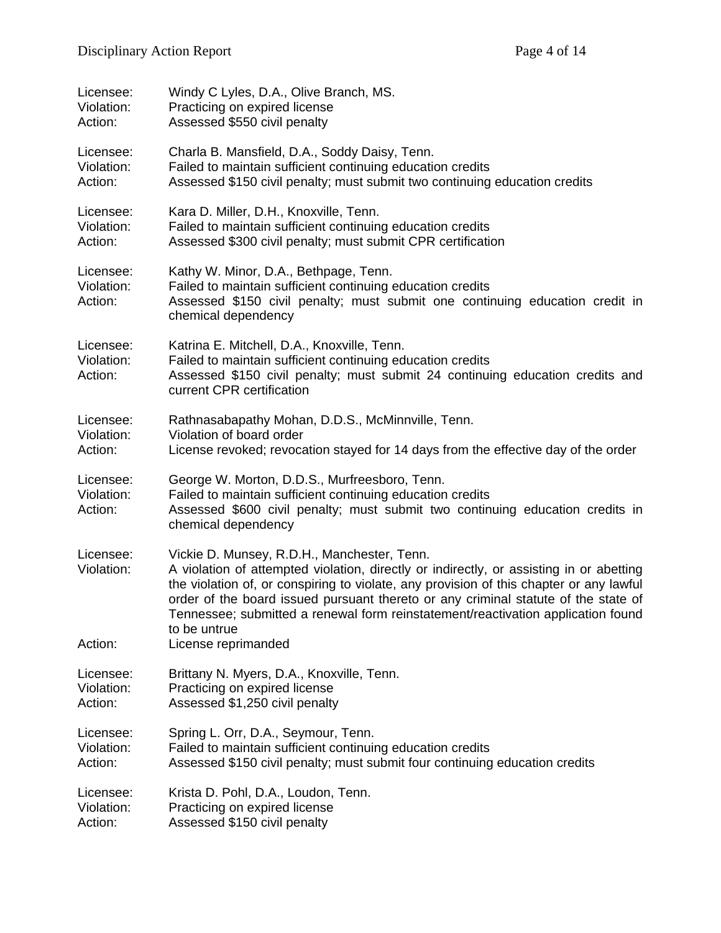| Licensee:                          | Windy C Lyles, D.A., Olive Branch, MS.                                                                                                                                                                                                                                                                                                                                                                                      |  |
|------------------------------------|-----------------------------------------------------------------------------------------------------------------------------------------------------------------------------------------------------------------------------------------------------------------------------------------------------------------------------------------------------------------------------------------------------------------------------|--|
| Violation:                         | Practicing on expired license                                                                                                                                                                                                                                                                                                                                                                                               |  |
| Action:                            | Assessed \$550 civil penalty                                                                                                                                                                                                                                                                                                                                                                                                |  |
| Licensee:                          | Charla B. Mansfield, D.A., Soddy Daisy, Tenn.                                                                                                                                                                                                                                                                                                                                                                               |  |
| Violation:                         | Failed to maintain sufficient continuing education credits                                                                                                                                                                                                                                                                                                                                                                  |  |
| Action:                            | Assessed \$150 civil penalty; must submit two continuing education credits                                                                                                                                                                                                                                                                                                                                                  |  |
| Licensee:                          | Kara D. Miller, D.H., Knoxville, Tenn.                                                                                                                                                                                                                                                                                                                                                                                      |  |
| Violation:                         | Failed to maintain sufficient continuing education credits                                                                                                                                                                                                                                                                                                                                                                  |  |
| Action:                            | Assessed \$300 civil penalty; must submit CPR certification                                                                                                                                                                                                                                                                                                                                                                 |  |
| Licensee:<br>Violation:<br>Action: | Kathy W. Minor, D.A., Bethpage, Tenn.<br>Failed to maintain sufficient continuing education credits<br>Assessed \$150 civil penalty; must submit one continuing education credit in<br>chemical dependency                                                                                                                                                                                                                  |  |
| Licensee:<br>Violation:<br>Action: | Katrina E. Mitchell, D.A., Knoxville, Tenn.<br>Failed to maintain sufficient continuing education credits<br>Assessed \$150 civil penalty; must submit 24 continuing education credits and<br>current CPR certification                                                                                                                                                                                                     |  |
| Licensee:                          | Rathnasabapathy Mohan, D.D.S., McMinnville, Tenn.                                                                                                                                                                                                                                                                                                                                                                           |  |
| Violation:                         | Violation of board order                                                                                                                                                                                                                                                                                                                                                                                                    |  |
| Action:                            | License revoked; revocation stayed for 14 days from the effective day of the order                                                                                                                                                                                                                                                                                                                                          |  |
| Licensee:<br>Violation:<br>Action: | George W. Morton, D.D.S., Murfreesboro, Tenn.<br>Failed to maintain sufficient continuing education credits<br>Assessed \$600 civil penalty; must submit two continuing education credits in<br>chemical dependency                                                                                                                                                                                                         |  |
| Licensee:<br>Violation:            | Vickie D. Munsey, R.D.H., Manchester, Tenn.<br>A violation of attempted violation, directly or indirectly, or assisting in or abetting<br>the violation of, or conspiring to violate, any provision of this chapter or any lawful<br>order of the board issued pursuant thereto or any criminal statute of the state of<br>Tennessee; submitted a renewal form reinstatement/reactivation application found<br>to be untrue |  |
| Action:                            | License reprimanded                                                                                                                                                                                                                                                                                                                                                                                                         |  |
| Licensee:                          | Brittany N. Myers, D.A., Knoxville, Tenn.                                                                                                                                                                                                                                                                                                                                                                                   |  |
| Violation:                         | Practicing on expired license                                                                                                                                                                                                                                                                                                                                                                                               |  |
| Action:                            | Assessed \$1,250 civil penalty                                                                                                                                                                                                                                                                                                                                                                                              |  |
| Licensee:                          | Spring L. Orr, D.A., Seymour, Tenn.                                                                                                                                                                                                                                                                                                                                                                                         |  |
| Violation:                         | Failed to maintain sufficient continuing education credits                                                                                                                                                                                                                                                                                                                                                                  |  |
| Action:                            | Assessed \$150 civil penalty; must submit four continuing education credits                                                                                                                                                                                                                                                                                                                                                 |  |
| Licensee:                          | Krista D. Pohl, D.A., Loudon, Tenn.                                                                                                                                                                                                                                                                                                                                                                                         |  |
| Violation:                         | Practicing on expired license                                                                                                                                                                                                                                                                                                                                                                                               |  |
| Action:                            | Assessed \$150 civil penalty                                                                                                                                                                                                                                                                                                                                                                                                |  |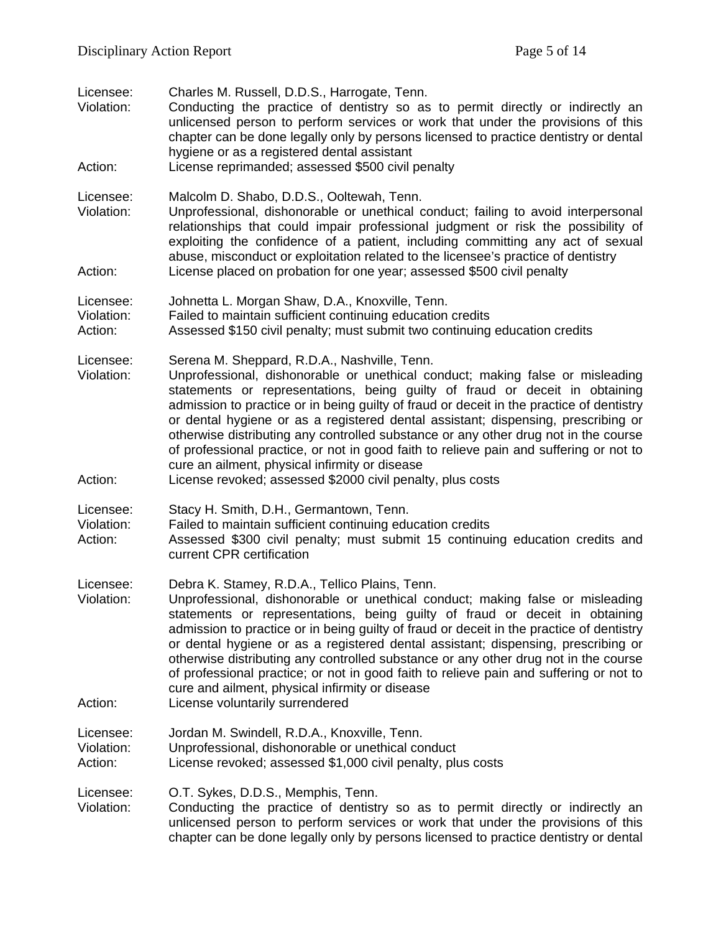| Licensee:<br>Violation:<br>Action: | Charles M. Russell, D.D.S., Harrogate, Tenn.<br>Conducting the practice of dentistry so as to permit directly or indirectly an<br>unlicensed person to perform services or work that under the provisions of this<br>chapter can be done legally only by persons licensed to practice dentistry or dental<br>hygiene or as a registered dental assistant<br>License reprimanded; assessed \$500 civil penalty                                                                                                                                                                                                                                                                                  |
|------------------------------------|------------------------------------------------------------------------------------------------------------------------------------------------------------------------------------------------------------------------------------------------------------------------------------------------------------------------------------------------------------------------------------------------------------------------------------------------------------------------------------------------------------------------------------------------------------------------------------------------------------------------------------------------------------------------------------------------|
| Licensee:<br>Violation:            | Malcolm D. Shabo, D.D.S., Ooltewah, Tenn.<br>Unprofessional, dishonorable or unethical conduct; failing to avoid interpersonal<br>relationships that could impair professional judgment or risk the possibility of<br>exploiting the confidence of a patient, including committing any act of sexual<br>abuse, misconduct or exploitation related to the licensee's practice of dentistry                                                                                                                                                                                                                                                                                                      |
| Action:                            | License placed on probation for one year; assessed \$500 civil penalty                                                                                                                                                                                                                                                                                                                                                                                                                                                                                                                                                                                                                         |
| Licensee:<br>Violation:<br>Action: | Johnetta L. Morgan Shaw, D.A., Knoxville, Tenn.<br>Failed to maintain sufficient continuing education credits<br>Assessed \$150 civil penalty; must submit two continuing education credits                                                                                                                                                                                                                                                                                                                                                                                                                                                                                                    |
| Licensee:<br>Violation:<br>Action: | Serena M. Sheppard, R.D.A., Nashville, Tenn.<br>Unprofessional, dishonorable or unethical conduct; making false or misleading<br>statements or representations, being guilty of fraud or deceit in obtaining<br>admission to practice or in being guilty of fraud or deceit in the practice of dentistry<br>or dental hygiene or as a registered dental assistant; dispensing, prescribing or<br>otherwise distributing any controlled substance or any other drug not in the course<br>of professional practice, or not in good faith to relieve pain and suffering or not to<br>cure an ailment, physical infirmity or disease<br>License revoked; assessed \$2000 civil penalty, plus costs |
|                                    |                                                                                                                                                                                                                                                                                                                                                                                                                                                                                                                                                                                                                                                                                                |
| Licensee:<br>Violation:<br>Action: | Stacy H. Smith, D.H., Germantown, Tenn.<br>Failed to maintain sufficient continuing education credits<br>Assessed \$300 civil penalty; must submit 15 continuing education credits and<br>current CPR certification                                                                                                                                                                                                                                                                                                                                                                                                                                                                            |
| Licensee:<br>Violation:            | Debra K. Stamey, R.D.A., Tellico Plains, Tenn.<br>Unprofessional, dishonorable or unethical conduct; making false or misleading<br>statements or representations, being guilty of fraud or deceit in obtaining<br>admission to practice or in being guilty of fraud or deceit in the practice of dentistry<br>or dental hygiene or as a registered dental assistant; dispensing, prescribing or<br>otherwise distributing any controlled substance or any other drug not in the course<br>of professional practice; or not in good faith to relieve pain and suffering or not to<br>cure and ailment, physical infirmity or disease                                                            |
| Action:                            | License voluntarily surrendered                                                                                                                                                                                                                                                                                                                                                                                                                                                                                                                                                                                                                                                                |
| Licensee:<br>Violation:<br>Action: | Jordan M. Swindell, R.D.A., Knoxville, Tenn.<br>Unprofessional, dishonorable or unethical conduct<br>License revoked; assessed \$1,000 civil penalty, plus costs                                                                                                                                                                                                                                                                                                                                                                                                                                                                                                                               |
| Licensee:<br>Violation:            | O.T. Sykes, D.D.S., Memphis, Tenn.<br>Conducting the practice of dentistry so as to permit directly or indirectly an<br>unlicensed person to perform services or work that under the provisions of this<br>chapter can be done legally only by persons licensed to practice dentistry or dental                                                                                                                                                                                                                                                                                                                                                                                                |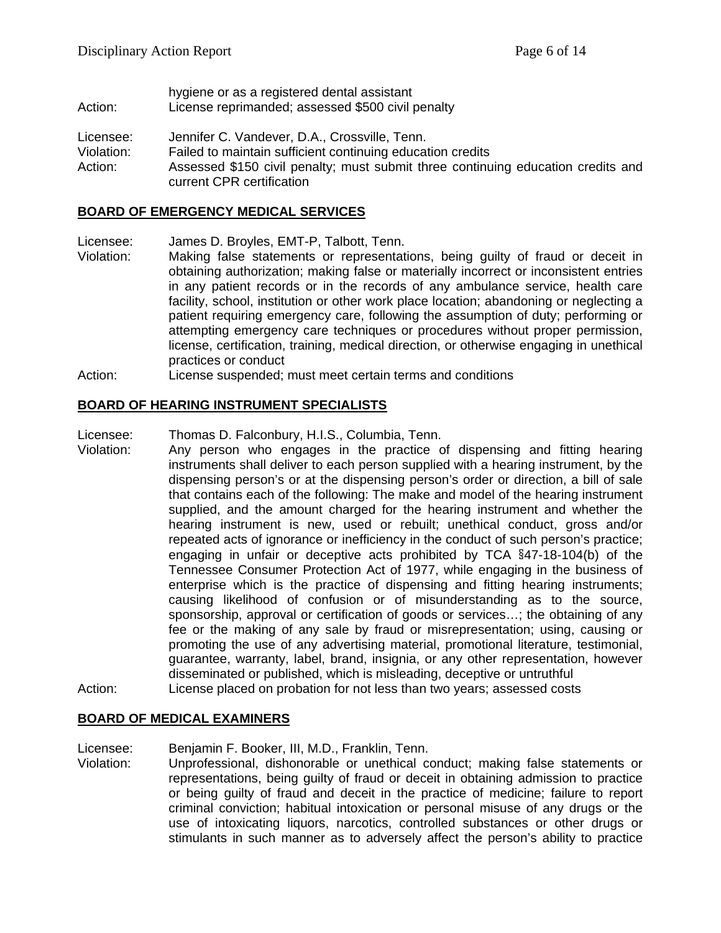- hygiene or as a registered dental assistant Action: License reprimanded; assessed \$500 civil penalty
- Licensee: Jennifer C. Vandever, D.A., Crossville, Tenn.
- Violation: Failed to maintain sufficient continuing education credits
- Action: Assessed \$150 civil penalty; must submit three continuing education credits and current CPR certification

#### **BOARD OF EMERGENCY MEDICAL SERVICES**

Licensee: James D. Broyles, EMT-P, Talbott, Tenn.

- Violation: Making false statements or representations, being guilty of fraud or deceit in obtaining authorization; making false or materially incorrect or inconsistent entries in any patient records or in the records of any ambulance service, health care facility, school, institution or other work place location; abandoning or neglecting a patient requiring emergency care, following the assumption of duty; performing or attempting emergency care techniques or procedures without proper permission, license, certification, training, medical direction, or otherwise engaging in unethical practices or conduct
- Action: License suspended; must meet certain terms and conditions

#### **BOARD OF HEARING INSTRUMENT SPECIALISTS**

- Licensee: Thomas D. Falconbury, H.I.S., Columbia, Tenn.<br>Violation: Any person who engages in the practice c
- Any person who engages in the practice of dispensing and fitting hearing instruments shall deliver to each person supplied with a hearing instrument, by the dispensing person's or at the dispensing person's order or direction, a bill of sale that contains each of the following: The make and model of the hearing instrument supplied, and the amount charged for the hearing instrument and whether the hearing instrument is new, used or rebuilt; unethical conduct, gross and/or repeated acts of ignorance or inefficiency in the conduct of such person's practice; engaging in unfair or deceptive acts prohibited by TCA §47-18-104(b) of the Tennessee Consumer Protection Act of 1977, while engaging in the business of enterprise which is the practice of dispensing and fitting hearing instruments; causing likelihood of confusion or of misunderstanding as to the source, sponsorship, approval or certification of goods or services…; the obtaining of any fee or the making of any sale by fraud or misrepresentation; using, causing or promoting the use of any advertising material, promotional literature, testimonial, guarantee, warranty, label, brand, insignia, or any other representation, however disseminated or published, which is misleading, deceptive or untruthful
- Action: License placed on probation for not less than two years; assessed costs

#### **BOARD OF MEDICAL EXAMINERS**

Licensee: Benjamin F. Booker, III, M.D., Franklin, Tenn.

Violation: Unprofessional, dishonorable or unethical conduct; making false statements or representations, being guilty of fraud or deceit in obtaining admission to practice or being guilty of fraud and deceit in the practice of medicine; failure to report criminal conviction; habitual intoxication or personal misuse of any drugs or the use of intoxicating liquors, narcotics, controlled substances or other drugs or stimulants in such manner as to adversely affect the person's ability to practice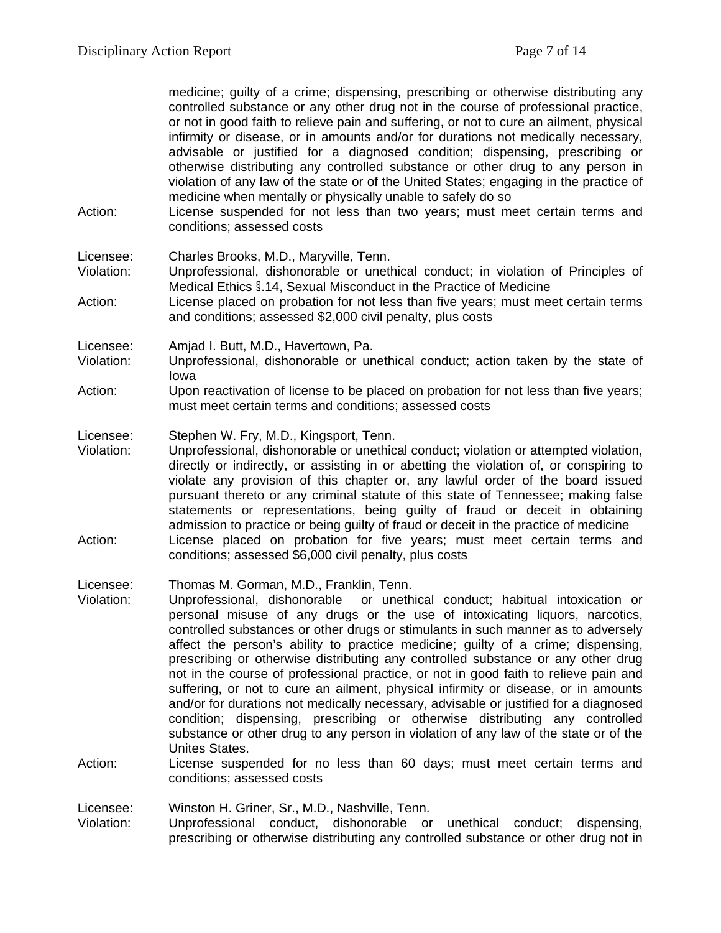medicine; guilty of a crime; dispensing, prescribing or otherwise distributing any controlled substance or any other drug not in the course of professional practice, or not in good faith to relieve pain and suffering, or not to cure an ailment, physical infirmity or disease, or in amounts and/or for durations not medically necessary, advisable or justified for a diagnosed condition; dispensing, prescribing or otherwise distributing any controlled substance or other drug to any person in violation of any law of the state or of the United States; engaging in the practice of medicine when mentally or physically unable to safely do so

Action: License suspended for not less than two years; must meet certain terms and conditions; assessed costs

Licensee: Charles Brooks, M.D., Maryville, Tenn.

Violation: Unprofessional, dishonorable or unethical conduct; in violation of Principles of Medical Ethics §.14, Sexual Misconduct in the Practice of Medicine

Action: License placed on probation for not less than five years; must meet certain terms and conditions; assessed \$2,000 civil penalty, plus costs

Licensee: Amjad I. Butt, M.D., Havertown, Pa.

- Violation: Unprofessional, dishonorable or unethical conduct; action taken by the state of Iowa
- Action: Upon reactivation of license to be placed on probation for not less than five years; must meet certain terms and conditions; assessed costs

Licensee: Stephen W. Fry, M.D., Kingsport, Tenn.

Violation: Unprofessional, dishonorable or unethical conduct; violation or attempted violation, directly or indirectly, or assisting in or abetting the violation of, or conspiring to violate any provision of this chapter or, any lawful order of the board issued pursuant thereto or any criminal statute of this state of Tennessee; making false statements or representations, being guilty of fraud or deceit in obtaining admission to practice or being guilty of fraud or deceit in the practice of medicine Action: License placed on probation for five years; must meet certain terms and conditions; assessed \$6,000 civil penalty, plus costs

Licensee: Thomas M. Gorman, M.D., Franklin, Tenn.

- Violation: Unprofessional, dishonorable or unethical conduct; habitual intoxication or personal misuse of any drugs or the use of intoxicating liquors, narcotics, controlled substances or other drugs or stimulants in such manner as to adversely affect the person's ability to practice medicine; guilty of a crime; dispensing, prescribing or otherwise distributing any controlled substance or any other drug not in the course of professional practice, or not in good faith to relieve pain and suffering, or not to cure an ailment, physical infirmity or disease, or in amounts and/or for durations not medically necessary, advisable or justified for a diagnosed condition; dispensing, prescribing or otherwise distributing any controlled substance or other drug to any person in violation of any law of the state or of the Unites States.
- Action: License suspended for no less than 60 days; must meet certain terms and conditions; assessed costs

Licensee: Winston H. Griner, Sr., M.D., Nashville, Tenn.

Violation: Unprofessional conduct, dishonorable or unethical conduct; dispensing, prescribing or otherwise distributing any controlled substance or other drug not in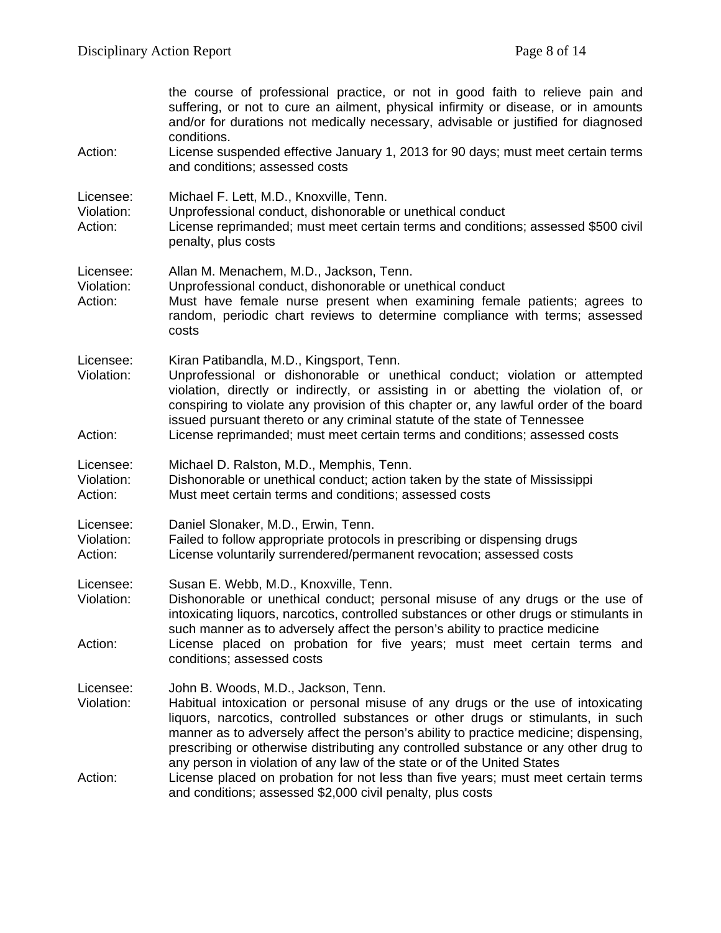|                                    | the course of professional practice, or not in good faith to relieve pain and<br>suffering, or not to cure an ailment, physical infirmity or disease, or in amounts<br>and/or for durations not medically necessary, advisable or justified for diagnosed<br>conditions.                                                                                                                                                                                             |
|------------------------------------|----------------------------------------------------------------------------------------------------------------------------------------------------------------------------------------------------------------------------------------------------------------------------------------------------------------------------------------------------------------------------------------------------------------------------------------------------------------------|
| Action:                            | License suspended effective January 1, 2013 for 90 days; must meet certain terms<br>and conditions; assessed costs                                                                                                                                                                                                                                                                                                                                                   |
| Licensee:<br>Violation:<br>Action: | Michael F. Lett, M.D., Knoxville, Tenn.<br>Unprofessional conduct, dishonorable or unethical conduct<br>License reprimanded; must meet certain terms and conditions; assessed \$500 civil<br>penalty, plus costs                                                                                                                                                                                                                                                     |
| Licensee:<br>Violation:<br>Action: | Allan M. Menachem, M.D., Jackson, Tenn.<br>Unprofessional conduct, dishonorable or unethical conduct<br>Must have female nurse present when examining female patients; agrees to<br>random, periodic chart reviews to determine compliance with terms; assessed<br>costs                                                                                                                                                                                             |
| Licensee:<br>Violation:            | Kiran Patibandla, M.D., Kingsport, Tenn.<br>Unprofessional or dishonorable or unethical conduct; violation or attempted<br>violation, directly or indirectly, or assisting in or abetting the violation of, or<br>conspiring to violate any provision of this chapter or, any lawful order of the board<br>issued pursuant thereto or any criminal statute of the state of Tennessee                                                                                 |
| Action:                            | License reprimanded; must meet certain terms and conditions; assessed costs                                                                                                                                                                                                                                                                                                                                                                                          |
| Licensee:<br>Violation:<br>Action: | Michael D. Ralston, M.D., Memphis, Tenn.<br>Dishonorable or unethical conduct; action taken by the state of Mississippi<br>Must meet certain terms and conditions; assessed costs                                                                                                                                                                                                                                                                                    |
| Licensee:<br>Violation:<br>Action: | Daniel Slonaker, M.D., Erwin, Tenn.<br>Failed to follow appropriate protocols in prescribing or dispensing drugs<br>License voluntarily surrendered/permanent revocation; assessed costs                                                                                                                                                                                                                                                                             |
| Licensee:<br>Violation:            | Susan E. Webb, M.D., Knoxville, Tenn.<br>Dishonorable or unethical conduct; personal misuse of any drugs or the use of<br>intoxicating liquors, narcotics, controlled substances or other drugs or stimulants in<br>such manner as to adversely affect the person's ability to practice medicine                                                                                                                                                                     |
| Action:                            | License placed on probation for five years; must meet certain terms and<br>conditions; assessed costs                                                                                                                                                                                                                                                                                                                                                                |
| Licensee:<br>Violation:            | John B. Woods, M.D., Jackson, Tenn.<br>Habitual intoxication or personal misuse of any drugs or the use of intoxicating<br>liquors, narcotics, controlled substances or other drugs or stimulants, in such<br>manner as to adversely affect the person's ability to practice medicine; dispensing,<br>prescribing or otherwise distributing any controlled substance or any other drug to<br>any person in violation of any law of the state or of the United States |
| Action:                            | License placed on probation for not less than five years; must meet certain terms<br>and conditions; assessed \$2,000 civil penalty, plus costs                                                                                                                                                                                                                                                                                                                      |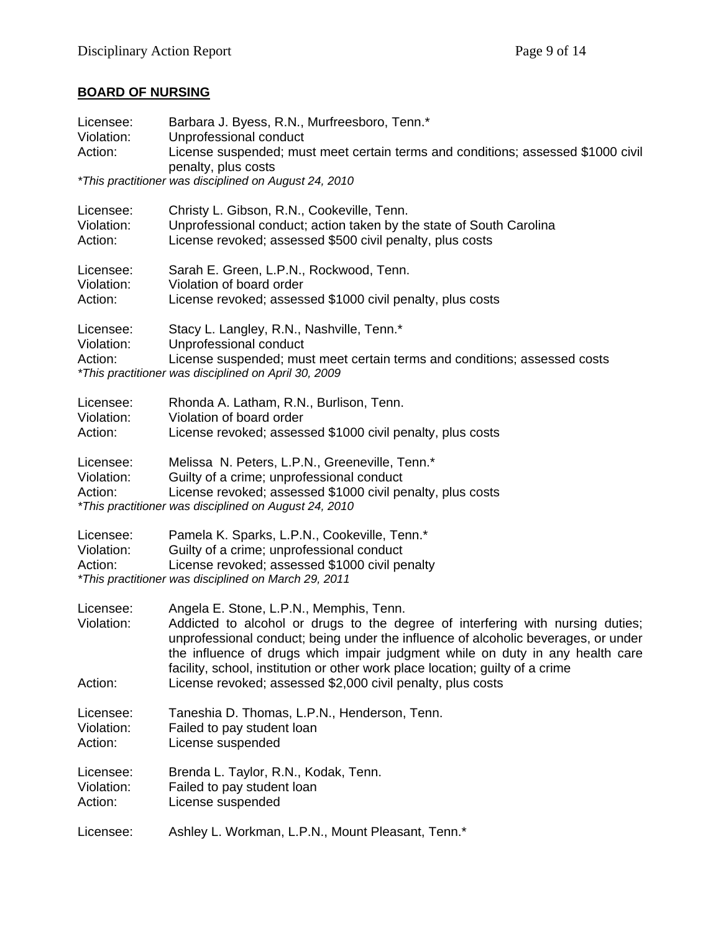# **BOARD OF NURSING**

| Licensee:<br>Violation:<br>Action: | Barbara J. Byess, R.N., Murfreesboro, Tenn.*<br>Unprofessional conduct<br>License suspended; must meet certain terms and conditions; assessed \$1000 civil<br>penalty, plus costs<br><i>*This practitioner was disciplined on August 24, 2010</i>                                                                                                                                                                                                |  |
|------------------------------------|--------------------------------------------------------------------------------------------------------------------------------------------------------------------------------------------------------------------------------------------------------------------------------------------------------------------------------------------------------------------------------------------------------------------------------------------------|--|
| Licensee:<br>Violation:<br>Action: | Christy L. Gibson, R.N., Cookeville, Tenn.<br>Unprofessional conduct; action taken by the state of South Carolina<br>License revoked; assessed \$500 civil penalty, plus costs                                                                                                                                                                                                                                                                   |  |
| Licensee:<br>Violation:<br>Action: | Sarah E. Green, L.P.N., Rockwood, Tenn.<br>Violation of board order<br>License revoked; assessed \$1000 civil penalty, plus costs                                                                                                                                                                                                                                                                                                                |  |
| Licensee:<br>Violation:<br>Action: | Stacy L. Langley, R.N., Nashville, Tenn.*<br>Unprofessional conduct<br>License suspended; must meet certain terms and conditions; assessed costs<br>*This practitioner was disciplined on April 30, 2009                                                                                                                                                                                                                                         |  |
| Licensee:<br>Violation:<br>Action: | Rhonda A. Latham, R.N., Burlison, Tenn.<br>Violation of board order<br>License revoked; assessed \$1000 civil penalty, plus costs                                                                                                                                                                                                                                                                                                                |  |
| Licensee:<br>Violation:<br>Action: | Melissa N. Peters, L.P.N., Greeneville, Tenn.*<br>Guilty of a crime; unprofessional conduct<br>License revoked; assessed \$1000 civil penalty, plus costs<br><i>*This practitioner was disciplined on August 24, 2010</i>                                                                                                                                                                                                                        |  |
| Licensee:<br>Violation:<br>Action: | Pamela K. Sparks, L.P.N., Cookeville, Tenn.*<br>Guilty of a crime; unprofessional conduct<br>License revoked; assessed \$1000 civil penalty<br>*This practitioner was disciplined on March 29, 2011                                                                                                                                                                                                                                              |  |
| Licensee:<br>Violation:<br>Action: | Angela E. Stone, L.P.N., Memphis, Tenn.<br>Addicted to alcohol or drugs to the degree of interfering with nursing duties;<br>unprofessional conduct; being under the influence of alcoholic beverages, or under<br>the influence of drugs which impair judgment while on duty in any health care<br>facility, school, institution or other work place location; guilty of a crime<br>License revoked; assessed \$2,000 civil penalty, plus costs |  |
| Licensee:<br>Violation:<br>Action: | Taneshia D. Thomas, L.P.N., Henderson, Tenn.<br>Failed to pay student loan<br>License suspended                                                                                                                                                                                                                                                                                                                                                  |  |
| Licensee:<br>Violation:<br>Action: | Brenda L. Taylor, R.N., Kodak, Tenn.<br>Failed to pay student loan<br>License suspended                                                                                                                                                                                                                                                                                                                                                          |  |
| Licensee:                          | Ashley L. Workman, L.P.N., Mount Pleasant, Tenn.*                                                                                                                                                                                                                                                                                                                                                                                                |  |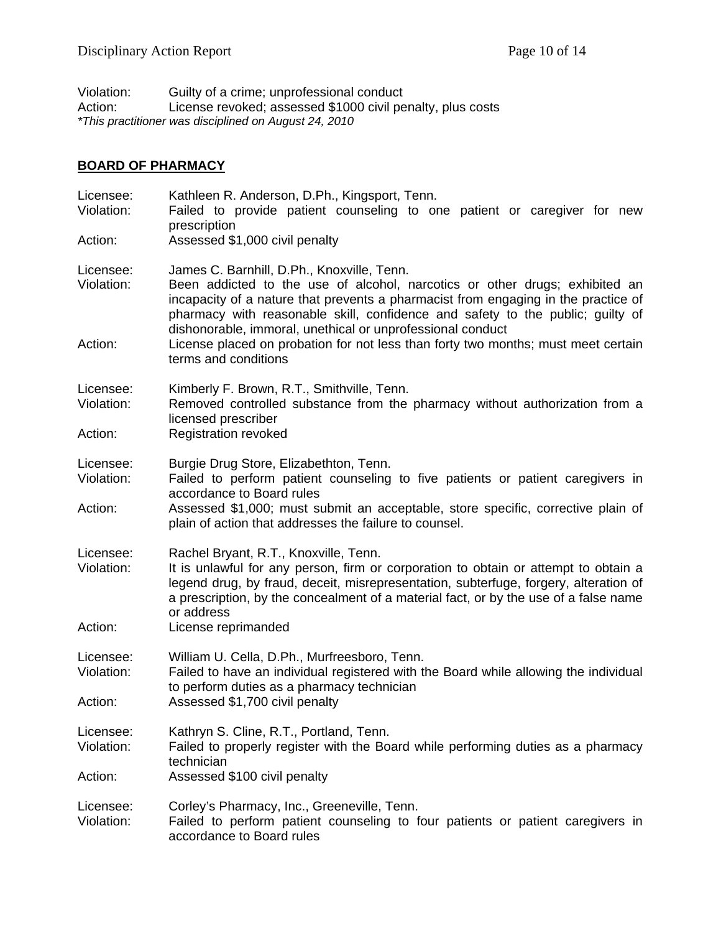Violation: Guilty of a crime; unprofessional conduct<br>Action: License revoked; assessed \$1000 civil pe License revoked; assessed \$1000 civil penalty, plus costs *\*This practitioner was disciplined on August 24, 2010*

## **BOARD OF PHARMACY**

| Licensee:<br>Violation:<br>Action: | Kathleen R. Anderson, D.Ph., Kingsport, Tenn.<br>Failed to provide patient counseling to one patient or caregiver for new<br>prescription<br>Assessed \$1,000 civil penalty                                                                                                                                                                                                                                                                          |  |
|------------------------------------|------------------------------------------------------------------------------------------------------------------------------------------------------------------------------------------------------------------------------------------------------------------------------------------------------------------------------------------------------------------------------------------------------------------------------------------------------|--|
| Licensee:<br>Violation:<br>Action: | James C. Barnhill, D.Ph., Knoxville, Tenn.<br>Been addicted to the use of alcohol, narcotics or other drugs; exhibited an<br>incapacity of a nature that prevents a pharmacist from engaging in the practice of<br>pharmacy with reasonable skill, confidence and safety to the public; guilty of<br>dishonorable, immoral, unethical or unprofessional conduct<br>License placed on probation for not less than forty two months; must meet certain |  |
| Licensee:<br>Violation:<br>Action: | terms and conditions<br>Kimberly F. Brown, R.T., Smithville, Tenn.<br>Removed controlled substance from the pharmacy without authorization from a<br>licensed prescriber<br><b>Registration revoked</b>                                                                                                                                                                                                                                              |  |
| Licensee:<br>Violation:<br>Action: | Burgie Drug Store, Elizabethton, Tenn.<br>Failed to perform patient counseling to five patients or patient caregivers in<br>accordance to Board rules<br>Assessed \$1,000; must submit an acceptable, store specific, corrective plain of<br>plain of action that addresses the failure to counsel.                                                                                                                                                  |  |
| Licensee:<br>Violation:<br>Action: | Rachel Bryant, R.T., Knoxville, Tenn.<br>It is unlawful for any person, firm or corporation to obtain or attempt to obtain a<br>legend drug, by fraud, deceit, misrepresentation, subterfuge, forgery, alteration of<br>a prescription, by the concealment of a material fact, or by the use of a false name<br>or address<br>License reprimanded                                                                                                    |  |
| Licensee:<br>Violation:<br>Action: | William U. Cella, D.Ph., Murfreesboro, Tenn.<br>Failed to have an individual registered with the Board while allowing the individual<br>to perform duties as a pharmacy technician<br>Assessed \$1,700 civil penalty                                                                                                                                                                                                                                 |  |
| Licensee:<br>Violation:<br>Action: | Kathryn S. Cline, R.T., Portland, Tenn.<br>Failed to properly register with the Board while performing duties as a pharmacy<br>technician<br>Assessed \$100 civil penalty                                                                                                                                                                                                                                                                            |  |
| Licensee:<br>Violation:            | Corley's Pharmacy, Inc., Greeneville, Tenn.<br>Failed to perform patient counseling to four patients or patient caregivers in<br>accordance to Board rules                                                                                                                                                                                                                                                                                           |  |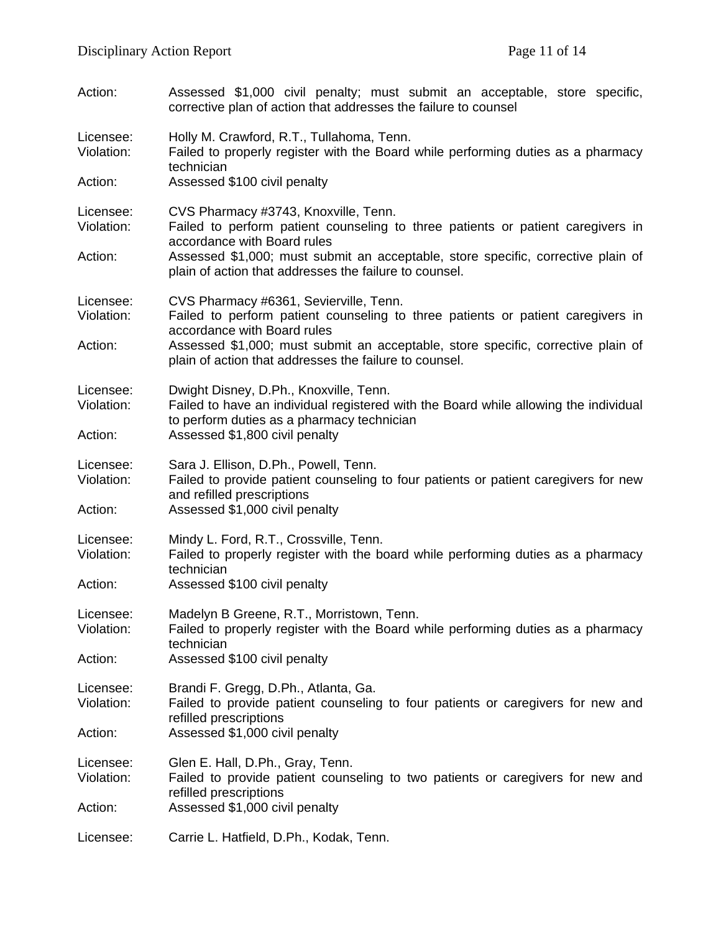| Action:                            | Assessed \$1,000 civil penalty; must submit an acceptable, store specific,<br>corrective plan of action that addresses the failure to counsel                                |  |
|------------------------------------|------------------------------------------------------------------------------------------------------------------------------------------------------------------------------|--|
| Licensee:<br>Violation:<br>Action: | Holly M. Crawford, R.T., Tullahoma, Tenn.<br>Failed to properly register with the Board while performing duties as a pharmacy<br>technician                                  |  |
|                                    | Assessed \$100 civil penalty                                                                                                                                                 |  |
| Licensee:<br>Violation:            | CVS Pharmacy #3743, Knoxville, Tenn.<br>Failed to perform patient counseling to three patients or patient caregivers in<br>accordance with Board rules                       |  |
| Action:                            | Assessed \$1,000; must submit an acceptable, store specific, corrective plain of<br>plain of action that addresses the failure to counsel.                                   |  |
| Licensee:<br>Violation:            | CVS Pharmacy #6361, Sevierville, Tenn.<br>Failed to perform patient counseling to three patients or patient caregivers in<br>accordance with Board rules                     |  |
| Action:                            | Assessed \$1,000; must submit an acceptable, store specific, corrective plain of<br>plain of action that addresses the failure to counsel.                                   |  |
| Licensee:<br>Violation:            | Dwight Disney, D.Ph., Knoxville, Tenn.<br>Failed to have an individual registered with the Board while allowing the individual<br>to perform duties as a pharmacy technician |  |
| Action:                            | Assessed \$1,800 civil penalty                                                                                                                                               |  |
| Licensee:<br>Violation:            | Sara J. Ellison, D.Ph., Powell, Tenn.<br>Failed to provide patient counseling to four patients or patient caregivers for new<br>and refilled prescriptions                   |  |
| Action:                            | Assessed \$1,000 civil penalty                                                                                                                                               |  |
| Licensee:<br>Violation:            | Mindy L. Ford, R.T., Crossville, Tenn.<br>Failed to properly register with the board while performing duties as a pharmacy<br>technician                                     |  |
| Action:                            | Assessed \$100 civil penalty                                                                                                                                                 |  |
| Licensee:<br>Violation:            | Madelyn B Greene, R.T., Morristown, Tenn.<br>Failed to properly register with the Board while performing duties as a pharmacy<br>technician                                  |  |
| Action:                            | Assessed \$100 civil penalty                                                                                                                                                 |  |
| Licensee:<br>Violation:            | Brandi F. Gregg, D.Ph., Atlanta, Ga.<br>Failed to provide patient counseling to four patients or caregivers for new and<br>refilled prescriptions                            |  |
| Action:                            | Assessed \$1,000 civil penalty                                                                                                                                               |  |
| Licensee:<br>Violation:            | Glen E. Hall, D.Ph., Gray, Tenn.<br>Failed to provide patient counseling to two patients or caregivers for new and<br>refilled prescriptions                                 |  |
| Action:                            | Assessed \$1,000 civil penalty                                                                                                                                               |  |
| Licensee:                          | Carrie L. Hatfield, D.Ph., Kodak, Tenn.                                                                                                                                      |  |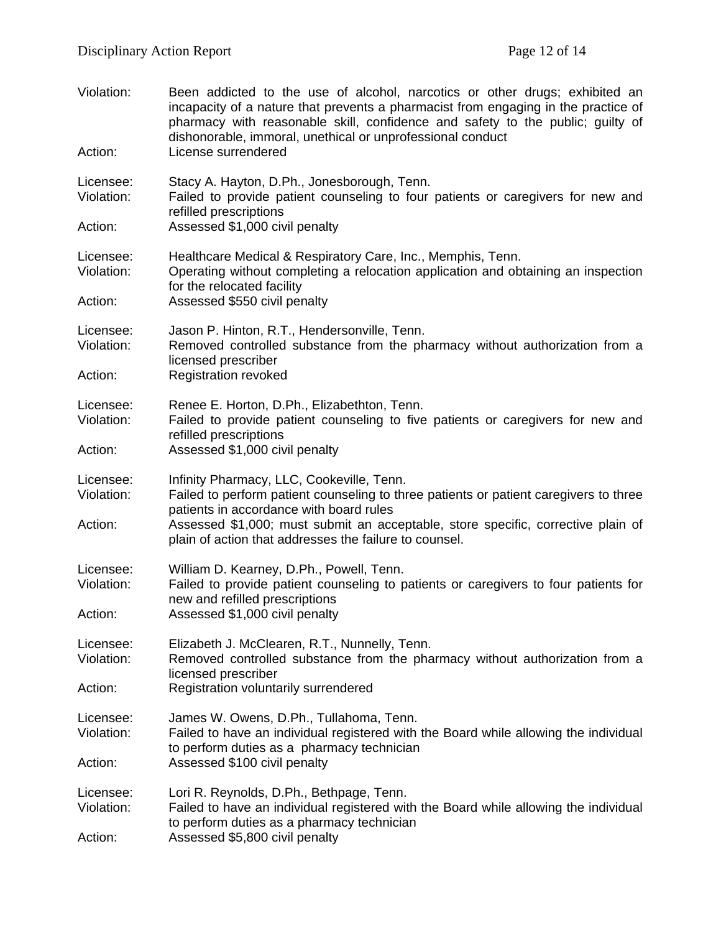| Violation:<br>Action:              | Been addicted to the use of alcohol, narcotics or other drugs; exhibited an<br>incapacity of a nature that prevents a pharmacist from engaging in the practice of<br>pharmacy with reasonable skill, confidence and safety to the public; guilty of<br>dishonorable, immoral, unethical or unprofessional conduct<br>License surrendered |
|------------------------------------|------------------------------------------------------------------------------------------------------------------------------------------------------------------------------------------------------------------------------------------------------------------------------------------------------------------------------------------|
| Licensee:<br>Violation:            | Stacy A. Hayton, D.Ph., Jonesborough, Tenn.<br>Failed to provide patient counseling to four patients or caregivers for new and<br>refilled prescriptions                                                                                                                                                                                 |
| Action:                            | Assessed \$1,000 civil penalty                                                                                                                                                                                                                                                                                                           |
| Licensee:<br>Violation:            | Healthcare Medical & Respiratory Care, Inc., Memphis, Tenn.<br>Operating without completing a relocation application and obtaining an inspection<br>for the relocated facility                                                                                                                                                           |
| Action:                            | Assessed \$550 civil penalty                                                                                                                                                                                                                                                                                                             |
| Licensee:<br>Violation:            | Jason P. Hinton, R.T., Hendersonville, Tenn.<br>Removed controlled substance from the pharmacy without authorization from a<br>licensed prescriber                                                                                                                                                                                       |
| Action:                            | <b>Registration revoked</b>                                                                                                                                                                                                                                                                                                              |
| Licensee:<br>Violation:            | Renee E. Horton, D.Ph., Elizabethton, Tenn.<br>Failed to provide patient counseling to five patients or caregivers for new and<br>refilled prescriptions                                                                                                                                                                                 |
| Action:                            | Assessed \$1,000 civil penalty                                                                                                                                                                                                                                                                                                           |
| Licensee:<br>Violation:<br>Action: | Infinity Pharmacy, LLC, Cookeville, Tenn.<br>Failed to perform patient counseling to three patients or patient caregivers to three<br>patients in accordance with board rules<br>Assessed \$1,000; must submit an acceptable, store specific, corrective plain of<br>plain of action that addresses the failure to counsel.              |
| Licensee:<br>Violation:<br>Action: | William D. Kearney, D.Ph., Powell, Tenn.<br>Failed to provide patient counseling to patients or caregivers to four patients for<br>new and refilled prescriptions<br>Assessed \$1,000 civil penalty                                                                                                                                      |
| Licensee:<br>Violation:<br>Action: | Elizabeth J. McClearen, R.T., Nunnelly, Tenn.<br>Removed controlled substance from the pharmacy without authorization from a<br>licensed prescriber<br>Registration voluntarily surrendered                                                                                                                                              |
|                                    |                                                                                                                                                                                                                                                                                                                                          |
| Licensee:<br>Violation:            | James W. Owens, D.Ph., Tullahoma, Tenn.<br>Failed to have an individual registered with the Board while allowing the individual<br>to perform duties as a pharmacy technician                                                                                                                                                            |
| Action:                            | Assessed \$100 civil penalty                                                                                                                                                                                                                                                                                                             |
| Licensee:<br>Violation:            | Lori R. Reynolds, D.Ph., Bethpage, Tenn.<br>Failed to have an individual registered with the Board while allowing the individual<br>to perform duties as a pharmacy technician                                                                                                                                                           |
| Action:                            | Assessed \$5,800 civil penalty                                                                                                                                                                                                                                                                                                           |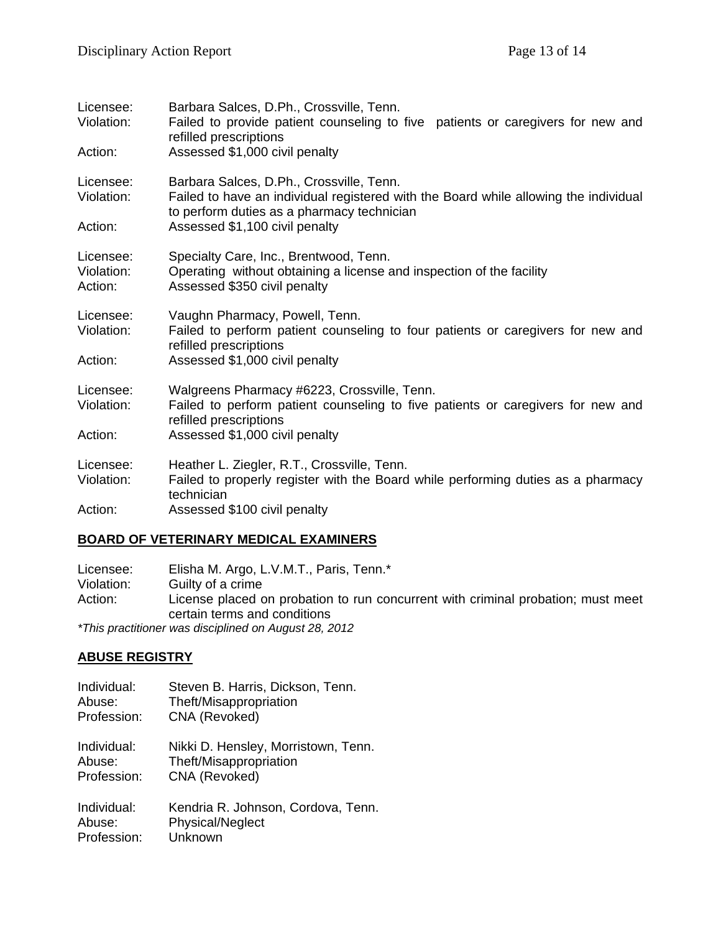| Licensee:<br>Violation:<br>Action: | Barbara Salces, D.Ph., Crossville, Tenn.<br>Failed to provide patient counseling to five patients or caregivers for new and<br>refilled prescriptions<br>Assessed \$1,000 civil penalty |
|------------------------------------|-----------------------------------------------------------------------------------------------------------------------------------------------------------------------------------------|
|                                    |                                                                                                                                                                                         |
| Licensee:<br>Violation:            | Barbara Salces, D.Ph., Crossville, Tenn.<br>Failed to have an individual registered with the Board while allowing the individual<br>to perform duties as a pharmacy technician          |
| Action:                            | Assessed \$1,100 civil penalty                                                                                                                                                          |
| Licensee:<br>Violation:<br>Action: | Specialty Care, Inc., Brentwood, Tenn.<br>Operating without obtaining a license and inspection of the facility<br>Assessed \$350 civil penalty                                          |
| Licensee:<br>Violation:            | Vaughn Pharmacy, Powell, Tenn.<br>Failed to perform patient counseling to four patients or caregivers for new and<br>refilled prescriptions                                             |
| Action:                            | Assessed \$1,000 civil penalty                                                                                                                                                          |
| Licensee:<br>Violation:            | Walgreens Pharmacy #6223, Crossville, Tenn.<br>Failed to perform patient counseling to five patients or caregivers for new and<br>refilled prescriptions                                |
| Action:                            | Assessed \$1,000 civil penalty                                                                                                                                                          |
| Licensee:<br>Violation:            | Heather L. Ziegler, R.T., Crossville, Tenn.<br>Failed to properly register with the Board while performing duties as a pharmacy<br>technician                                           |
| Action:                            | Assessed \$100 civil penalty                                                                                                                                                            |

### **BOARD OF VETERINARY MEDICAL EXAMINERS**

Licensee: Elisha M. Argo, L.V.M.T., Paris, Tenn.\*<br>Violation: Guilty of a crime Violation: Guilty of a crime<br>Action: License placed c License placed on probation to run concurrent with criminal probation; must meet certain terms and conditions *\*This practitioner was disciplined on August 28, 2012*

### **ABUSE REGISTRY**

| Individual: | Steven B. Harris, Dickson, Tenn.    |
|-------------|-------------------------------------|
| Abuse:      | Theft/Misappropriation              |
| Profession: | CNA (Revoked)                       |
| Individual: | Nikki D. Hensley, Morristown, Tenn. |
| Abuse:      | Theft/Misappropriation              |
| Profession: | CNA (Revoked)                       |
| Individual: | Kendria R. Johnson, Cordova, Tenn.  |
| Abuse:      | <b>Physical/Neglect</b>             |
| Profession: | Unknown                             |